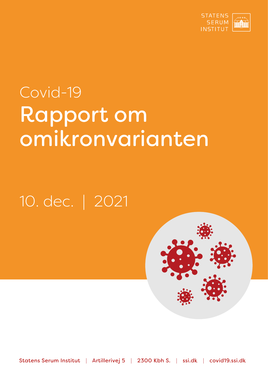

# Covid-19 Rapport om omikronvarianten

## 10. dec. | 2021



Statens Serum Institut | Artillerivej 5 | 2300 Kbh S. | ssi.dk | covid19.ssi.dk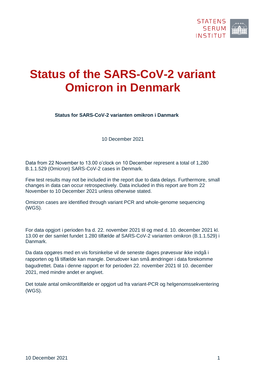

### **Status of the SARS-CoV-2 variant Omicron in Denmark**

**Status for SARS-CoV-2 varianten omikron i Danmark**

10 December 2021

Data from 22 November to 13.00 o'clock on 10 December represent a total of 1,280 B.1.1.529 (Omicron) SARS-CoV-2 cases in Denmark.

Few test results may not be included in the report due to data delays. Furthermore, small changes in data can occur retrospectively. Data included in this report are from 22 November to 10 December 2021 unless otherwise stated.

Omicron cases are identified through variant PCR and whole-genome sequencing (WGS).

For data opgjort i perioden fra d. 22. november 2021 til og med d. 10. december 2021 kl. 13.00 er der samlet fundet 1.280 tilfælde af SARS-CoV-2 varianten omikron (B.1.1.529) i Danmark.

Da data opgøres med en vis forsinkelse vil de seneste dages prøvesvar ikke indgå i rapporten og få tilfælde kan mangle. Derudover kan små ændringer i data forekomme bagudrettet. Data i denne rapport er for perioden 22. november 2021 til 10. december 2021, med mindre andet er angivet.

Det totale antal omikrontilfælde er opgjort ud fra variant-PCR og helgenomssekventering (WGS).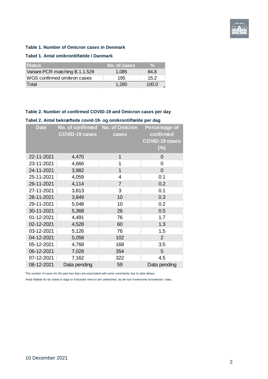

#### **Table 1. Number of Omicron cases in Denmark**

#### **Tabel 1. Antal omikrontilfælde i Danmark**

| <b>Status</b>                  | No. of cases | $\mathcal{A}$ |
|--------------------------------|--------------|---------------|
| Variant-PCR matching B.1.1.529 | 1.085        | 84.8          |
| WGS confirmed omikron cases    | 195          | 152           |
| Total                          | 1.280        | 100.0         |

#### **Table 2. Number of confirmed COVID-19 and Omicron cases per day**

#### **Tabel 2. Antal bekræftede covid-19- og omikrontilfælde per dag**

| <b>Date</b> | No. of confirmed<br><b>COVID-19 cases</b> | No. of Omicron<br>cases | <b>Percentage of</b><br>confirmed<br><b>COVID-19 cases</b><br>$(\%)$ |
|-------------|-------------------------------------------|-------------------------|----------------------------------------------------------------------|
| 22-11-2021  | 4,470                                     | 1                       | 0                                                                    |
| 23-11-2021  | 4,666                                     | 1                       | 0                                                                    |
| 24-11-2021  | 3,982                                     | 1                       | 0                                                                    |
| 25-11-2021  | 4,059                                     | 4                       | 0.1                                                                  |
| 26-11-2021  | 4,114                                     | $\overline{7}$          | 0.2                                                                  |
| 27-11-2021  | 3,813                                     | 3                       | 0.1                                                                  |
| 28-11-2021  | 3,849                                     | 10                      | 0.3                                                                  |
| 29-11-2021  | 5,048                                     | 10                      | 0.2                                                                  |
| 30-11-2021  | 5,368                                     | 26                      | 0.5                                                                  |
| 01-12-2021  | 4,491                                     | 76                      | 1.7                                                                  |
| 02-12-2021  | 4,528                                     | 60                      | 1.3                                                                  |
| 03-12-2021  | 5,126                                     | 76                      | 1.5                                                                  |
| 04-12-2021  | 5,058                                     | 102                     | $\overline{2}$                                                       |
| 05-12-2021  | 4,768                                     | 168                     | 3.5                                                                  |
| 06-12-2021  | 7,028                                     | 354                     | 5                                                                    |
| 07-12-2021  | 7,162                                     | 322                     | 4.5                                                                  |
| 08-12-2021  | Data pending                              | 59                      | Data pending                                                         |

The number of cases for the past two days are associated with some uncertainty due to data delays.

Antal tilfælde for de sidste to dage er forbundet med en del usikkerhed, da der kan forekomme forsinkelser i data.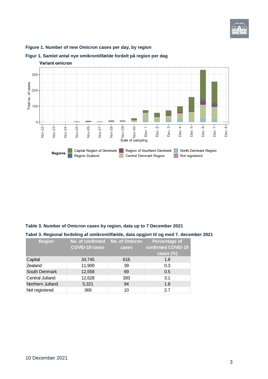

#### **Figure 1. Number of new Omicron cases per day, by region**



#### **Figur 1. Samlet antal nye omikrontilfælde fordelt på region per dag**

#### **Table 3. Number of Omicron cases by region, data up to 7 December 2021**

#### **Tabel 3. Regional fordeling af omikrontilfælde, data opgjort til og med 7. december 2021**

| <b>Region</b>          | No. of confirmed No. of Omicron<br><b>COVID-19 cases</b> | cases | Percentage of<br>confirmed COVID-19 |
|------------------------|----------------------------------------------------------|-------|-------------------------------------|
|                        |                                                          |       | cases (%)                           |
| Capital                | 34,745                                                   | 616   | 1.8                                 |
| Zealand                | 11,909                                                   | 39    | 0.3                                 |
| South Denmark          | 12,558                                                   | 69    | 0.5                                 |
| <b>Central Jutland</b> | 12,628                                                   | 393   | 3.1                                 |
| Northern Jutland       | 5,321                                                    | 94    | 1.8                                 |
| Not registered         | 369                                                      | 10    | 27                                  |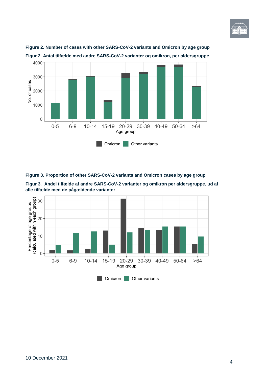





**Figure 3. Proportion of other SARS-CoV-2 variants and Omicron cases by age group**